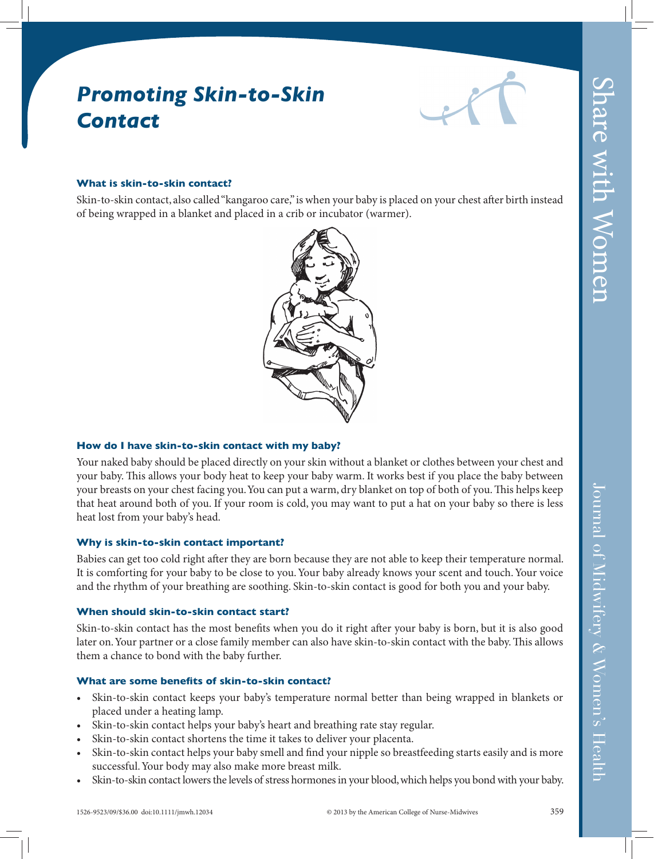# *Promoting Skin-to-Skin Contact*



#### **What is skin-to-skin contact?**

Skin-to-skin contact, also called "kangaroo care," is when your baby is placed on your chest after birth instead of being wrapped in a blanket and placed in a crib or incubator (warmer).



#### **How do I have skin-to-skin contact with my baby?**

Your naked baby should be placed directly on your skin without a blanket or clothes between your chest and your baby. This allows your body heat to keep your baby warm. It works best if you place the baby between your breasts on your chest facing you. You can put a warm, dry blanket on top of both of you. This helps keep that heat around both of you. If your room is cold, you may want to put a hat on your baby so there is less heat lost from your baby's head.

#### **Why is skin-to-skin contact important?**

Babies can get too cold right after they are born because they are not able to keep their temperature normal. It is comforting for your baby to be close to you. Your baby already knows your scent and touch. Your voice and the rhythm of your breathing are soothing. Skin-to-skin contact is good for both you and your baby.

#### **When should skin-to-skin contact start?**

Skin-to-skin contact has the most benefits when you do it right after your baby is born, but it is also good later on. Your partner or a close family member can also have skin-to-skin contact with the baby. This allows them a chance to bond with the baby further.

### **What are some benefits of skin-to-skin contact?**

- Skin-to-skin contact keeps your baby's temperature normal better than being wrapped in blankets or placed under a heating lamp.
- Skin-to-skin contact helps your baby's heart and breathing rate stay regular.
- Skin-to-skin contact shortens the time it takes to deliver your placenta.
- Skin-to-skin contact helps your baby smell and find your nipple so breastfeeding starts easily and is more successful. Your body may also make more breast milk.
- Skin-to-skin contact lowers the levels of stress hormones in your blood, which helps you bond with your baby.